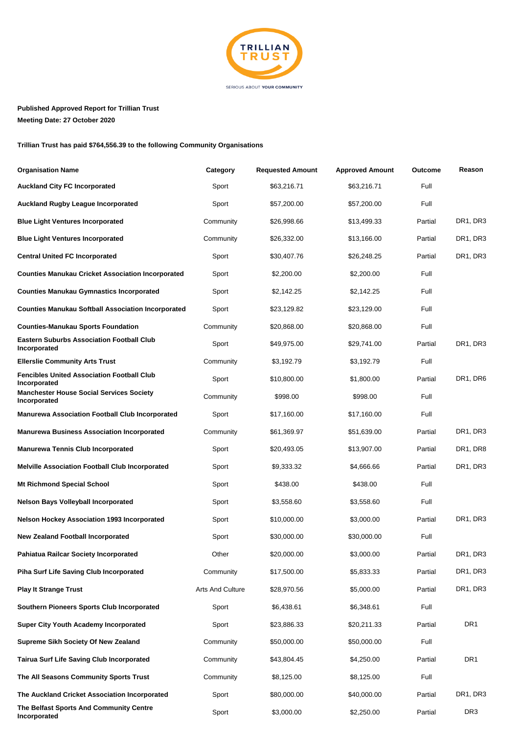

## **Published Approved Report for Trillian Trust Meeting Date: 27 October 2020**

**Trillian Trust has paid \$764,556.39 to the following Community Organisations**

| <b>Organisation Name</b>                                          | Category                | <b>Requested Amount</b> | <b>Approved Amount</b> | Outcome | Reason          |
|-------------------------------------------------------------------|-------------------------|-------------------------|------------------------|---------|-----------------|
| <b>Auckland City FC Incorporated</b>                              | Sport                   | \$63,216.71             | \$63,216.71            | Full    |                 |
| <b>Auckland Rugby League Incorporated</b>                         | Sport                   | \$57,200.00             | \$57,200.00            | Full    |                 |
| Blue Light Ventures Incorporated                                  | Community               | \$26,998.66             | \$13,499.33            | Partial | DR1, DR3        |
| Blue Light Ventures Incorporated                                  | Community               | \$26,332.00             | \$13,166.00            | Partial | DR1, DR3        |
| <b>Central United FC Incorporated</b>                             | Sport                   | \$30,407.76             | \$26,248.25            | Partial | DR1, DR3        |
| <b>Counties Manukau Cricket Association Incorporated</b>          | Sport                   | \$2,200.00              | \$2,200.00             | Full    |                 |
| <b>Counties Manukau Gymnastics Incorporated</b>                   | Sport                   | \$2,142.25              | \$2,142.25             | Full    |                 |
| <b>Counties Manukau Softball Association Incorporated</b>         | Sport                   | \$23,129.82             | \$23,129.00            | Full    |                 |
| <b>Counties-Manukau Sports Foundation</b>                         | Community               | \$20,868.00             | \$20,868.00            | Full    |                 |
| <b>Eastern Suburbs Association Football Club</b><br>Incorporated  | Sport                   | \$49,975.00             | \$29,741.00            | Partial | DR1, DR3        |
| <b>Ellerslie Community Arts Trust</b>                             | Community               | \$3,192.79              | \$3,192.79             | Full    |                 |
| <b>Fencibles United Association Football Club</b><br>Incorporated | Sport                   | \$10,800.00             | \$1,800.00             | Partial | DR1, DR6        |
| <b>Manchester House Social Services Society</b><br>Incorporated   | Community               | \$998.00                | \$998.00               | Full    |                 |
| <b>Manurewa Association Football Club Incorporated</b>            | Sport                   | \$17,160.00             | \$17,160.00            | Full    |                 |
| <b>Manurewa Business Association Incorporated</b>                 | Community               | \$61,369.97             | \$51,639.00            | Partial | DR1, DR3        |
| <b>Manurewa Tennis Club Incorporated</b>                          | Sport                   | \$20,493.05             | \$13,907.00            | Partial | DR1, DR8        |
| <b>Melville Association Football Club Incorporated</b>            | Sport                   | \$9,333.32              | \$4,666.66             | Partial | DR1, DR3        |
| <b>Mt Richmond Special School</b>                                 | Sport                   | \$438.00                | \$438.00               | Full    |                 |
| Nelson Bays Volleyball Incorporated                               | Sport                   | \$3,558.60              | \$3,558.60             | Full    |                 |
| Nelson Hockey Association 1993 Incorporated                       | Sport                   | \$10,000.00             | \$3,000.00             | Partial | DR1, DR3        |
| <b>New Zealand Football Incorporated</b>                          | Sport                   | \$30,000.00             | \$30,000.00            | Full    |                 |
| Pahiatua Railcar Society Incorporated                             | Other                   | \$20,000.00             | \$3,000.00             | Partial | DR1, DR3        |
| Piha Surf Life Saving Club Incorporated                           | Community               | \$17,500.00             | \$5,833.33             | Partial | DR1, DR3        |
| <b>Play It Strange Trust</b>                                      | <b>Arts And Culture</b> | \$28,970.56             | \$5,000.00             | Partial | DR1, DR3        |
| Southern Pioneers Sports Club Incorporated                        | Sport                   | \$6,438.61              | \$6,348.61             | Full    |                 |
| <b>Super City Youth Academy Incorporated</b>                      | Sport                   | \$23,886.33             | \$20,211.33            | Partial | DR <sub>1</sub> |
| Supreme Sikh Society Of New Zealand                               | Community               | \$50,000.00             | \$50,000.00            | Full    |                 |
| Tairua Surf Life Saving Club Incorporated                         | Community               | \$43,804.45             | \$4,250.00             | Partial | DR <sub>1</sub> |
| The All Seasons Community Sports Trust                            | Community               | \$8,125.00              | \$8,125.00             | Full    |                 |
| The Auckland Cricket Association Incorporated                     | Sport                   | \$80,000.00             | \$40,000.00            | Partial | DR1, DR3        |
| The Belfast Sports And Community Centre<br>Incorporated           | Sport                   | \$3,000.00              | \$2,250.00             | Partial | DR <sub>3</sub> |